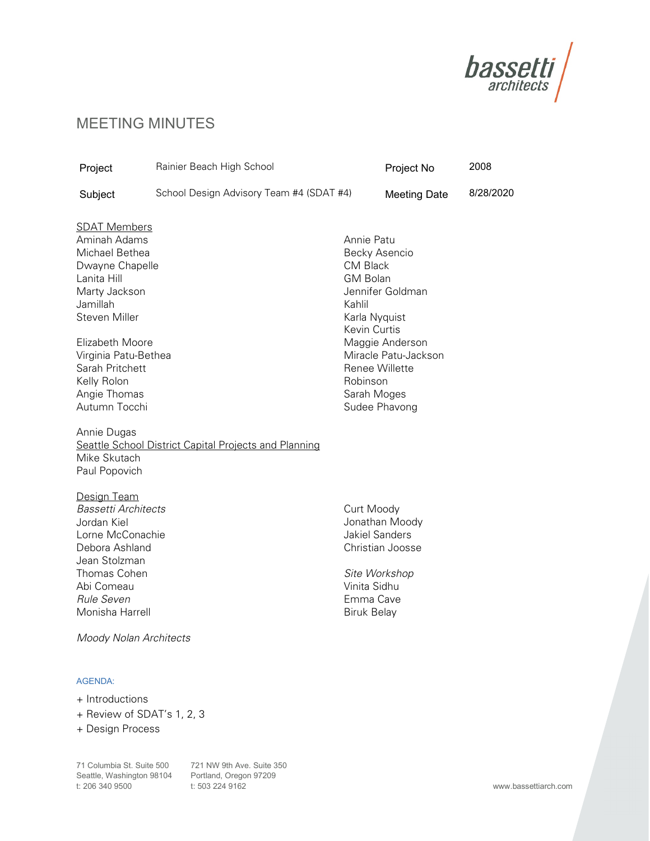

# MEETING MINUTES

| Project                                                                                                                                                                                                                                                                                                    | Rainier Beach High School                                    |                                                                                                                        | Project No                                                                                                      | 2008      |
|------------------------------------------------------------------------------------------------------------------------------------------------------------------------------------------------------------------------------------------------------------------------------------------------------------|--------------------------------------------------------------|------------------------------------------------------------------------------------------------------------------------|-----------------------------------------------------------------------------------------------------------------|-----------|
| Subject                                                                                                                                                                                                                                                                                                    | School Design Advisory Team #4 (SDAT #4)                     |                                                                                                                        | <b>Meeting Date</b>                                                                                             | 8/28/2020 |
| <b>SDAT Members</b><br>Aminah Adams<br>Michael Bethea<br>Dwayne Chapelle<br>Lanita Hill<br>Marty Jackson<br>Jamillah<br><b>Steven Miller</b><br>Elizabeth Moore<br>Virginia Patu-Bethea<br>Sarah Pritchett<br>Kelly Rolon<br>Angie Thomas<br>Autumn Tocchi<br>Annie Dugas<br>Mike Skutach<br>Paul Popovich | <b>Seattle School District Capital Projects and Planning</b> | Annie Patu<br><b>CM Black</b><br><b>GM Bolan</b><br>Kahlil<br>Karla Nyquist<br>Kevin Curtis<br>Robinson<br>Sarah Moges | Becky Asencio<br>Jennifer Goldman<br>Maggie Anderson<br>Miracle Patu-Jackson<br>Renee Willette<br>Sudee Phavong |           |
| Design Team<br><b>Bassetti Architects</b><br>Jordan Kiel<br>Lorne McConachie<br>Debora Ashland<br>Jean Stolzman<br>Thomas Cohen<br>Abi Comeau<br><b>Rule Seven</b><br>Monisha Harrell<br><b>Moody Nolan Architects</b><br><b>AGENDA:</b>                                                                   |                                                              | Curt Moody<br><b>Jakiel Sanders</b><br>Vinita Sidhu<br>Emma Cave<br><b>Biruk Belay</b>                                 | Jonathan Moody<br>Christian Joosse<br>Site Workshop                                                             |           |
| + Introductions                                                                                                                                                                                                                                                                                            |                                                              |                                                                                                                        |                                                                                                                 |           |

- + Review of SDAT's 1, 2, 3
- + Design Process

 71 Columbia St. Suite 500 721 NW 9th Ave. Suite 350 Seattle, Washington 98104 Portland, Oregon 97209 t: 206 340 9500 t: 503 224 9162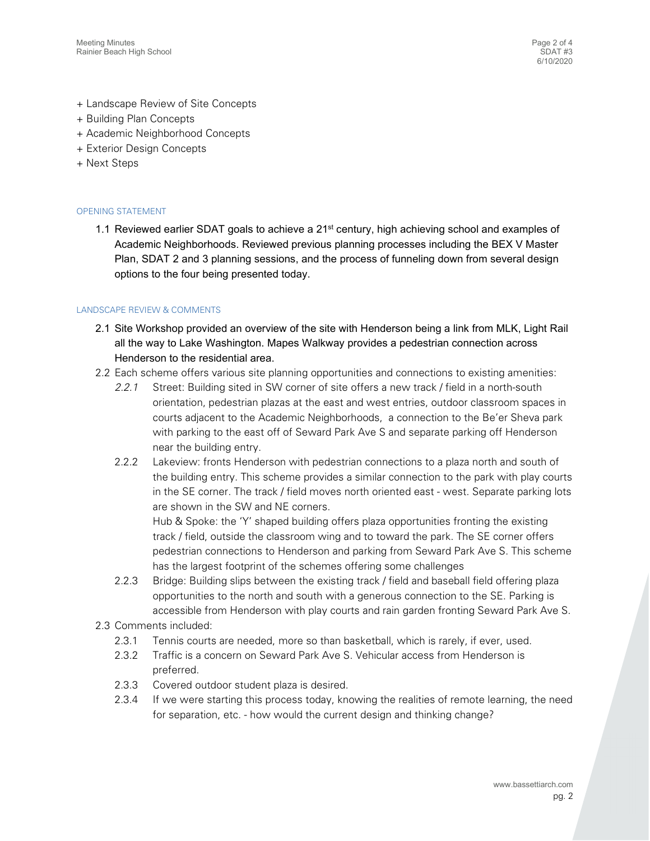- + Landscape Review of Site Concepts
- + Building Plan Concepts
- + Academic Neighborhood Concepts
- + Exterior Design Concepts
- + Next Steps

## OPENING STATEMENT

1.1 Reviewed earlier SDAT goals to achieve a  $21<sup>st</sup>$  century, high achieving school and examples of Academic Neighborhoods. Reviewed previous planning processes including the BEX V Master Plan, SDAT 2 and 3 planning sessions, and the process of funneling down from several design options to the four being presented today.

## LANDSCAPE REVIEW & COMMENTS

- 2.1 Site Workshop provided an overview of the site with Henderson being a link from MLK, Light Rail all the way to Lake Washington. Mapes Walkway provides a pedestrian connection across Henderson to the residential area.
- 2.2 Each scheme offers various site planning opportunities and connections to existing amenities:
	- 2.2.1 Street: Building sited in SW corner of site offers a new track / field in a north-south orientation, pedestrian plazas at the east and west entries, outdoor classroom spaces in courts adjacent to the Academic Neighborhoods, a connection to the Be'er Sheva park with parking to the east off of Seward Park Ave S and separate parking off Henderson near the building entry.
	- 2.2.2 Lakeview: fronts Henderson with pedestrian connections to a plaza north and south of the building entry. This scheme provides a similar connection to the park with play courts in the SE corner. The track / field moves north oriented east - west. Separate parking lots are shown in the SW and NE corners.

 Hub & Spoke: the 'Y' shaped building offers plaza opportunities fronting the existing track / field, outside the classroom wing and to toward the park. The SE corner offers pedestrian connections to Henderson and parking from Seward Park Ave S. This scheme has the largest footprint of the schemes offering some challenges

- 2.2.3 Bridge: Building slips between the existing track / field and baseball field offering plaza opportunities to the north and south with a generous connection to the SE. Parking is accessible from Henderson with play courts and rain garden fronting Seward Park Ave S.
- 2.3 Comments included:
	- 2.3.1 Tennis courts are needed, more so than basketball, which is rarely, if ever, used.
	- 2.3.2 Traffic is a concern on Seward Park Ave S. Vehicular access from Henderson is preferred.
	- preferred. 2.3.3 Covered outdoor student plaza is desired.
	- 2.3.4 If we were starting this process today, knowing the realities of remote learning, the need for separation, etc. - how would the current design and thinking change?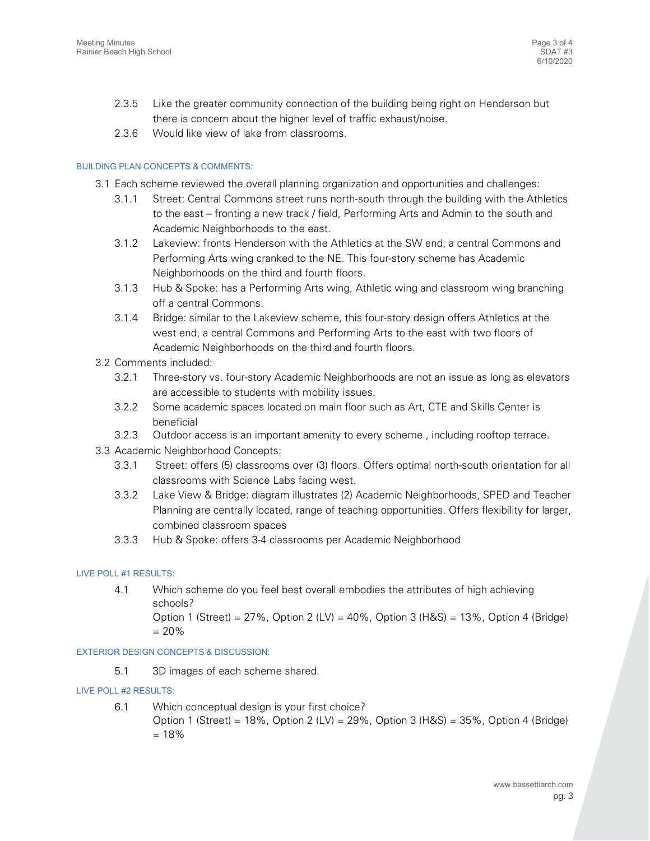- 2.3.5 Like the greater community connection of the building being right on Henderson but there is concern about the higher level of traffic exhaust/noise.
- 2.3.6 Would like view of lake from classrooms.

# BUILDING PLAN CONCEPTS & COMMENTS:

- 3.1 Each scheme reviewed the overall planning organization and opportunities and challenges:
	- 3.1.1 Street: Central Commons street runs north-south through the building with the Athletics to the east – fronting a new track / field, Performing Arts and Admin to the south and Academic Neighborhoods to the east.
	- 3.1.2 Lakeview: fronts Henderson with the Athletics at the SW end, a central Commons and Performing Arts wing cranked to the NE. This four-story scheme has Academic Neighborhoods on the third and fourth floors.
	- 3.1.3 Hub & Spoke: has a Performing Arts wing, Athletic wing and classroom wing branching off a central Commons.
	- 3.1.4 Bridge: similar to the Lakeview scheme, this four-story design offers Athletics at the west end, a central Commons and Performing Arts to the east with two floors of Academic Neighborhoods on the third and fourth floors.
- 3.2 Comments included:
	- 3.2.1 Three-story vs. four-story Academic Neighborhoods are not an issue as long as elevators are accessible to students with mobility issues.
	- 3.2.2 Some academic spaces located on main floor such as Art, CTE and Skills Center is beneficial
	- 3.2.3 Outdoor access is an important amenity to every scheme , including rooftop terrace.
- 3.3 Academic Neighborhood Concepts:
	- 3.3.1 Street: offers (5) classrooms over (3) floors. Offers optimal north-south orientation for all classrooms with Science Labs facing west.
	- 3.3.2 Lake View & Bridge: diagram illustrates (2) Academic Neighborhoods, SPED and Teacher Planning are centrally located, range of teaching opportunities. Offers flexibility for larger, combined classroom spaces
	- 3.3.3 Hub & Spoke: offers 3-4 classrooms per Academic Neighborhood

#### LIVE POLL #1 RESULTS:

 $4.1$ schools? schools?<br>Option 1 (Street) = 27%, Option 2 (LV) = 40%, Option 3 (H&S) = 13%, Option 4 (Bridge) Which scheme do you feel best overall embodies the attributes of high achieving

= 20%

#### EXTERIOR DESIGN CONCEPTS & DISCUSSION:

 $5.1$ 3D images of each scheme shared.

#### LIVE POLL #2 RESULTS:

 $6.1$ Option 1 (Street) = 18%, Option 2 (LV) = 29%, Option 3 (H&S) = 35%, Option 4 (Bridge) = 18% Which conceptual design is your first choice?